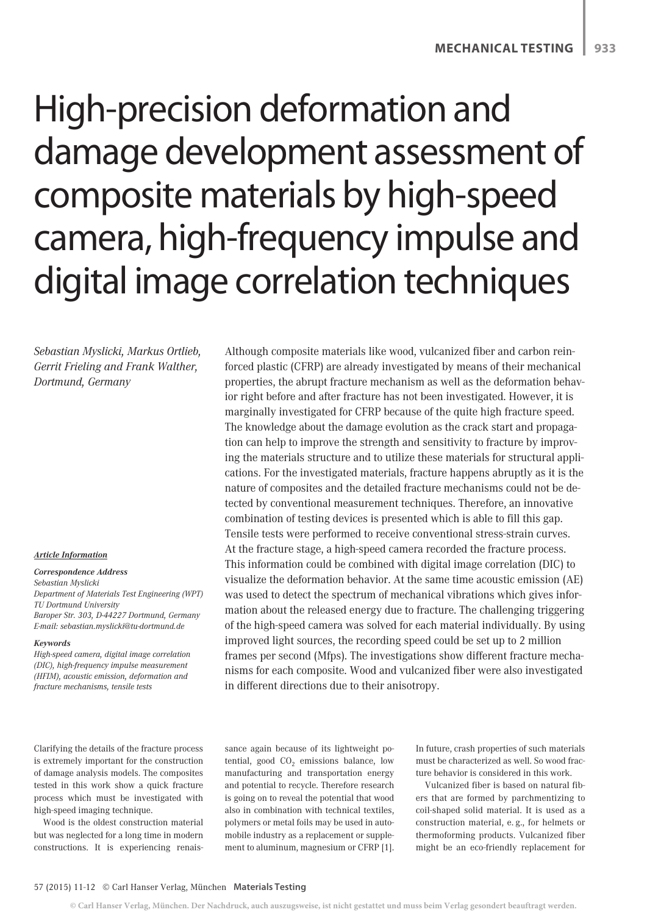# High-precision deformation and damage development assessment of composite materials by high-speed camera, high-frequency impulse and digital image correlation techniques

*Sebastian Myslicki, Markus Ortlieb, Gerrit Frieling and Frank Walther, Dortmund, Germany*

#### *Article Information*

#### *Correspondence Address Sebastian Myslicki Department of Materials Test Engineering (WPT) TU Dortmund University Baroper Str. 303, D-44227 Dortmund, Germany E-mail: sebastian.myslicki@tu-dortmund.de*

#### *Keywords*

*High-speed camera, digital image correlation (DIC), high-frequency impulse measurement (HFIM), acoustic emission, deformation and fracture mechanisms, tensile tests*

Although composite materials like wood, vulcanized fiber and carbon reinforced plastic (CFRP) are already investigated by means of their mechanical properties, the abrupt fracture mechanism as well as the deformation behavior right before and after fracture has not been investigated. However, it is marginally investigated for CFRP because of the quite high fracture speed. The knowledge about the damage evolution as the crack start and propagation can help to improve the strength and sensitivity to fracture by improving the materials structure and to utilize these materials for structural applications. For the investigated materials, fracture happens abruptly as it is the nature of composites and the detailed fracture mechanisms could not be detected by conventional measurement techniques. Therefore, an innovative combination of testing devices is presented which is able to fill this gap. Tensile tests were performed to receive conventional stress-strain curves. At the fracture stage, a high-speed camera recorded the fracture process. This information could be combined with digital image correlation (DIC) to visualize the deformation behavior. At the same time acoustic emission (AE) was used to detect the spectrum of mechanical vibrations which gives information about the released energy due to fracture. The challenging triggering of the high-speed camera was solved for each material individually. By using improved light sources, the recording speed could be set up to 2 million frames per second (Mfps). The investigations show different fracture mechanisms for each composite. Wood and vulcanized fiber were also investigated in different directions due to their anisotropy.

Clarifying the details of the fracture process is extremely important for the construction of damage analysis models. The composites tested in this work show a quick fracture process which must be investigated with high-speed imaging technique.

Wood is the oldest construction material but was neglected for a long time in modern constructions. It is experiencing renaissance again because of its lightweight potential, good  $CO<sub>2</sub>$  emissions balance, low manufacturing and transportation energy and potential to recycle. Therefore research is going on to reveal the potential that wood also in combination with technical textiles, polymers or metal foils may be used in automobile industry as a replacement or supplement to aluminum, magnesium or CFRP [1].

In future, crash properties of such materials must be characterized as well. So wood fracture behavior is considered in this work.

Vulcanized fiber is based on natural fibers that are formed by parchmentizing to coil-shaped solid material. It is used as a construction material, e. g., for helmets or thermoforming products. Vulcanized fiber might be an eco-friendly replacement for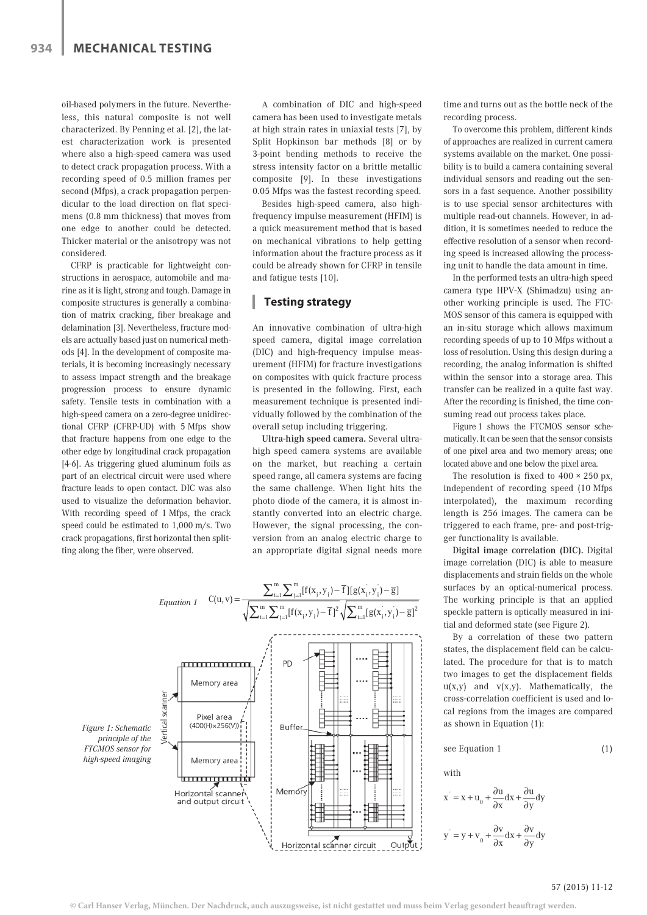oil-based polymers in the future. Nevertheless, this natural composite is not well characterized. By Penning et al. [2], the latest characterization work is presented where also a high-speed camera was used to detect crack propagation process. With a recording speed of 0.5 million frames per second (Mfps), a crack propagation perpendicular to the load direction on flat specimens (0.8 mm thickness) that moves from one edge to another could be detected. Thicker material or the anisotropy was not considered.

CFRP is practicable for lightweight constructions in aerospace, automobile and marine as it is light, strong and tough. Damage in composite structures is generally a combination of matrix cracking, fiber breakage and delamination [3]. Nevertheless, fracture models are actually based just on numerical methods [4]. In the development of composite materials, it is becoming increasingly necessary to assess impact strength and the breakage progression process to ensure dynamic safety. Tensile tests in combination with a high-speed camera on a zero-degree unidirectional CFRP (CFRP-UD) with 5 Mfps show that fracture happens from one edge to the other edge by longitudinal crack propagation [4-6]. As triggering glued aluminum foils as part of an electrical circuit were used where fracture leads to open contact. DIC was also used to visualize the deformation behavior. With recording speed of 1 Mfps, the crack speed could be estimated to 1,000 m/s. Two crack propagations, first horizontal then splitting along the fiber, were observed.

A combination of DIC and high-speed camera has been used to investigate metals at high strain rates in uniaxial tests [7], by Split Hopkinson bar methods [8] or by 3-point bending methods to receive the stress intensity factor on a brittle metallic composite [9]. In these investigations 0.05 Mfps was the fastest recording speed.

Besides high-speed camera, also highfrequency impulse measurement (HFIM) is a quick measurement method that is based on mechanical vibrations to help getting information about the fracture process as it could be already shown for CFRP in tensile and fatigue tests [10].

#### **Testing strategy**

An innovative combination of ultra-high speed camera, digital image correlation (DIC) and high-frequency impulse measurement (HFIM) for fracture investigations on composites with quick fracture process is presented in the following. First, each measurement technique is presented individually followed by the combination of the overall setup including triggering.

Ultra-high speed camera. Several ultrahigh speed camera systems are available on the market, but reaching a certain speed range, all camera systems are facing the same challenge. When light hits the photo diode of the camera, it is almost instantly converted into an electric charge. However, the signal processing, the conversion from an analog electric charge to an appropriate digital signal needs more



time and turns out as the bottle neck of the recording process.

To overcome this problem, different kinds of approaches are realized in current camera systems available on the market. One possibility is to build a camera containing several individual sensors and reading out the sensors in a fast sequence. Another possibility is to use special sensor architectures with multiple read-out channels. However, in addition, it is sometimes needed to reduce the effective resolution of a sensor when recording speed is increased allowing the processing unit to handle the data amount in time.

In the performed tests an ultra-high speed camera type HPV-X (Shimadzu) using another working principle is used. The FTC-MOS sensor of this camera is equipped with an in-situ storage which allows maximum recording speeds of up to 10 Mfps without a loss of resolution. Using this design during a recording, the analog information is shifted within the sensor into a storage area. This transfer can be realized in a quite fast way. After the recording is finished, the time consuming read out process takes place.

Figure 1 shows the FTCMOS sensor schematically. It can be seen that the sensor consists of one pixel area and two memory areas; one located above and one below the pixel area.

The resolution is fixed to  $400 \times 250$  px, independent of recording speed (10 Mfps interpolated), the maximum recording length is 256 images. The camera can be triggered to each frame, pre- and post-trigger functionality is available.

Digital image correlation (DIC). Digital image correlation (DIC) is able to measure displacements and strain fields on the whole surfaces by an optical-numerical process. The working principle is that an applied speckle pattern is optically measured in initial and deformed state (see Figure 2).

By a correlation of these two pattern states, the displacement field can be calculated. The procedure for that is to match two images to get the displacement fields  $u(x,y)$  and  $v(x,y)$ . Mathematically, the cross-correlation coefficient is used and local regions from the images are compared as shown in Equation (1):

see Equation 1 (1)

with

$$
x = x + u_0 + \frac{\partial u}{\partial x} dx + \frac{\partial u}{\partial y} dy
$$
  

$$
y = y + v_0 + \frac{\partial v}{\partial x} dx + \frac{\partial v}{\partial y} dy
$$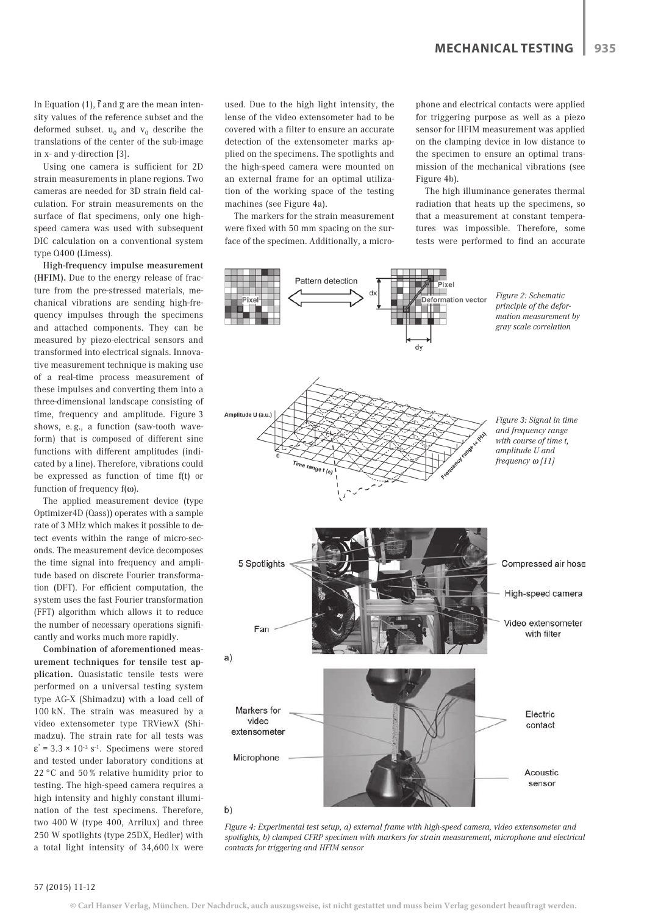In Equation (1),  $\bar{f}$  and  $\bar{g}$  are the mean intensity values of the reference subset and the deformed subset.  $u_0$  and  $v_0$  describe the translations of the center of the sub-image in x- and y-direction [3].

Using one camera is sufficient for 2D strain measurements in plane regions. Two cameras are needed for 3D strain field calculation. For strain measurements on the surface of flat specimens, only one highspeed camera was used with subsequent DIC calculation on a conventional system type Q400 (Limess).

High-frequency impulse measurement (HFIM). Due to the energy release of fracture from the pre-stressed materials, mechanical vibrations are sending high-frequency impulses through the specimens and attached components. They can be measured by piezo-electrical sensors and transformed into electrical signals. Innovative measurement technique is making use of a real-time process measurement of these impulses and converting them into a three-dimensional landscape consisting of time, frequency and amplitude. Figure 3 shows, e. g., a function (saw-tooth waveform) that is composed of different sine functions with different amplitudes (indicated by a line). Therefore, vibrations could be expressed as function of time f(t) or function of frequency f(ω).

The applied measurement device (type Optimizer4D (Qass)) operates with a sample rate of 3 MHz which makes it possible to detect events within the range of micro-seconds. The measurement device decomposes the time signal into frequency and amplitude based on discrete Fourier transformation (DFT). For efficient computation, the system uses the fast Fourier transformation (FFT) algorithm which allows it to reduce the number of necessary operations significantly and works much more rapidly.

Combination of aforementioned measurement techniques for tensile test application. Quasistatic tensile tests were performed on a universal testing system type AG-X (Shimadzu) with a load cell of 100 kN. The strain was measured by a video extensometer type TRViewX (Shimadzu). The strain rate for all tests was  $\varepsilon$  = 3.3 × 10<sup>-3</sup> s<sup>-1</sup>. Specimens were stored and tested under laboratory conditions at 22 °C and 50 % relative humidity prior to testing. The high-speed camera requires a high intensity and highly constant illumination of the test specimens. Therefore, two 400 W (type 400, Arrilux) and three 250 W spotlights (type 25DX, Hedler) with a total light intensity of 34,600 lx were

used. Due to the high light intensity, the lense of the video extensometer had to be covered with a filter to ensure an accurate detection of the extensometer marks applied on the specimens. The spotlights and the high-speed camera were mounted on an external frame for an optimal utilization of the working space of the testing machines (see Figure 4a).

The markers for the strain measurement were fixed with 50 mm spacing on the surface of the specimen. Additionally, a microphone and electrical contacts were applied for triggering purpose as well as a piezo sensor for HFIM measurement was applied on the clamping device in low distance to the specimen to ensure an optimal transmission of the mechanical vibrations (see Figure 4b).

The high illuminance generates thermal radiation that heats up the specimens, so that a measurement at constant temperatures was impossible. Therefore, some tests were performed to find an accurate



*Figure 4: Experimental test setup, a) external frame with high-speed camera, video extensometer and spotlights, b) clamped CFRP specimen with markers for strain measurement, microphone and electrical contacts for triggering and HFIM sensor*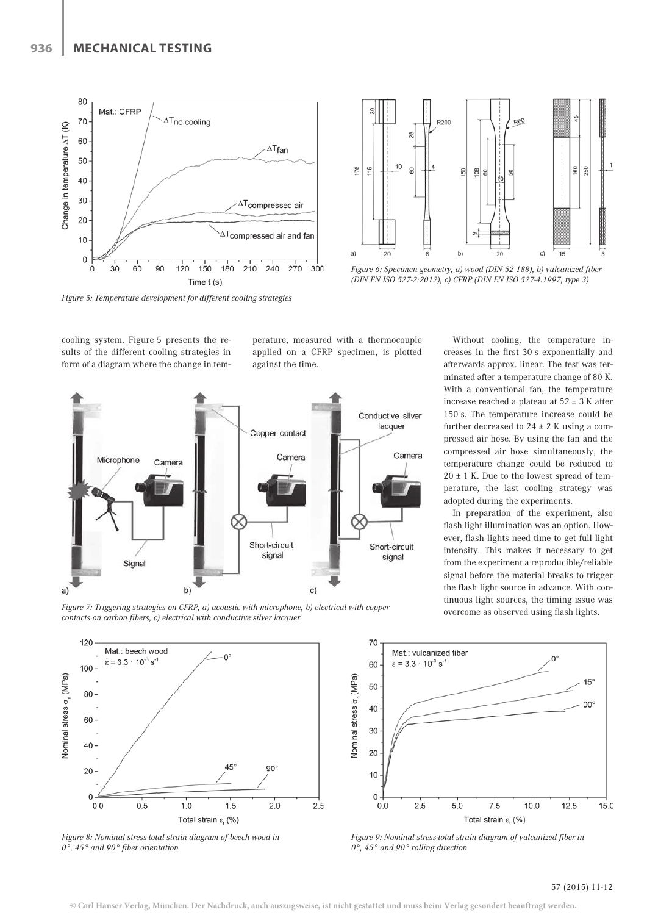

*Figure 5: Temperature development for different cooling strategies*



*Figure 6: Specimen geometry, a) wood (DIN 52 188), b) vulcanized fiber (DIN EN ISO 527-2:2012), c) CFRP (DIN EN ISO 527-4:1997, type 3)*

cooling system. Figure 5 presents the results of the different cooling strategies in form of a diagram where the change in temperature, measured with a thermocouple applied on a CFRP specimen, is plotted against the time.



Without cooling, the temperature increases in the first 30 s exponentially and afterwards approx. linear. The test was terminated after a temperature change of 80 K. With a conventional fan, the temperature increase reached a plateau at  $52 \pm 3$  K after 150 s. The temperature increase could be further decreased to  $24 \pm 2$  K using a compressed air hose. By using the fan and the compressed air hose simultaneously, the temperature change could be reduced to  $20 \pm 1$  K. Due to the lowest spread of temperature, the last cooling strategy was adopted during the experiments.

In preparation of the experiment, also flash light illumination was an option. However, flash lights need time to get full light intensity. This makes it necessary to get from the experiment a reproducible/reliable signal before the material breaks to trigger the flash light source in advance. With continuous light sources, the timing issue was

overcome as observed using flash lights. *Figure 7: Triggering strategies on CFRP, a) acoustic with microphone, b) electrical with copper contacts on carbon fibers, c) electrical with conductive silver lacquer*



*Figure 8: Nominal stress-total strain diagram of beech wood in 0°, 45° and 90° fiber orientation*



*Figure 9: Nominal stress-total strain diagram of vulcanized fiber in 0°, 45° and 90° rolling direction*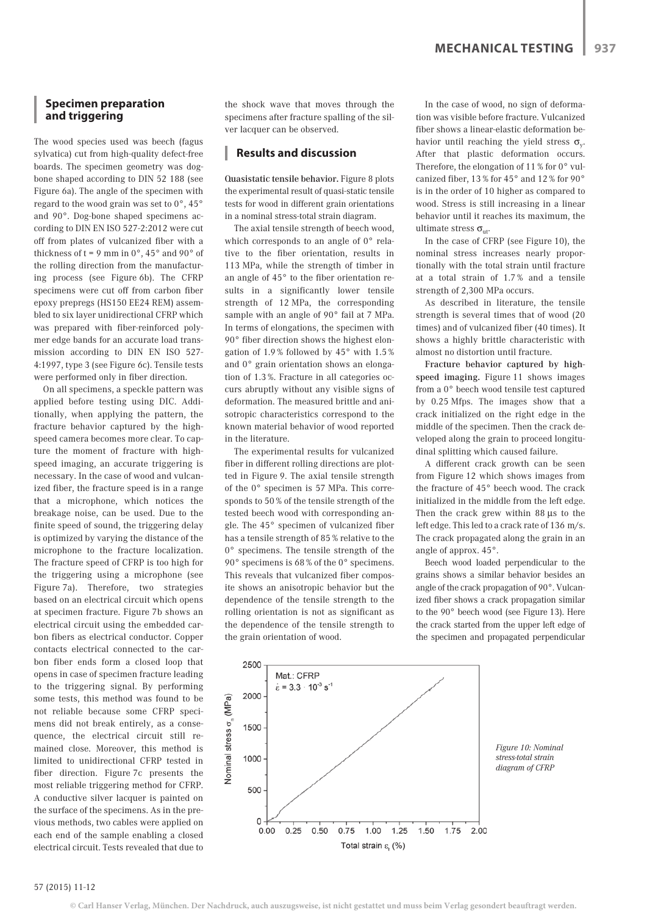### **Specimen preparation and triggering**

The wood species used was beech (fagus sylvatica) cut from high-quality defect-free boards. The specimen geometry was dogbone shaped according to DIN 52 188 (see Figure 6a). The angle of the specimen with regard to the wood grain was set to 0°, 45° and 90°. Dog-bone shaped specimens according to DIN EN ISO 527-2:2012 were cut off from plates of vulcanized fiber with a thickness of  $t = 9$  mm in  $0^\circ$ , 45° and 90° of the rolling direction from the manufacturing process (see Figure 6b). The CFRP specimens were cut off from carbon fiber epoxy prepregs (HS150 EE24 REM) assembled to six layer unidirectional CFRP which was prepared with fiber-reinforced polymer edge bands for an accurate load transmission according to DIN EN ISO 527- 4:1997, type 3 (see Figure 6c). Tensile tests were performed only in fiber direction.

On all specimens, a speckle pattern was applied before testing using DIC. Additionally, when applying the pattern, the fracture behavior captured by the highspeed camera becomes more clear. To capture the moment of fracture with highspeed imaging, an accurate triggering is necessary. In the case of wood and vulcanized fiber, the fracture speed is in a range that a microphone, which notices the breakage noise, can be used. Due to the finite speed of sound, the triggering delay is optimized by varying the distance of the microphone to the fracture localization. The fracture speed of CFRP is too high for the triggering using a microphone (see Figure 7a). Therefore, two strategies based on an electrical circuit which opens at specimen fracture. Figure 7b shows an electrical circuit using the embedded carbon fibers as electrical conductor. Copper contacts electrical connected to the carbon fiber ends form a closed loop that opens in case of specimen fracture leading to the triggering signal. By performing some tests, this method was found to be not reliable because some CFRP specimens did not break entirely, as a consequence, the electrical circuit still remained close. Moreover, this method is limited to unidirectional CFRP tested in fiber direction. Figure 7c presents the most reliable triggering method for CFRP. A conductive silver lacquer is painted on the surface of the specimens. As in the previous methods, two cables were applied on each end of the sample enabling a closed electrical circuit. Tests revealed that due to

the shock wave that moves through the specimens after fracture spalling of the silver lacquer can be observed.

#### **Results and discussion**

Quasistatic tensile behavior. Figure 8 plots the experimental result of quasi-static tensile tests for wood in different grain orientations in a nominal stress-total strain diagram.

The axial tensile strength of beech wood, which corresponds to an angle of 0° relative to the fiber orientation, results in 113 MPa, while the strength of timber in an angle of 45° to the fiber orientation results in a significantly lower tensile strength of 12 MPa, the corresponding sample with an angle of 90° fail at 7 MPa. In terms of elongations, the specimen with 90° fiber direction shows the highest elongation of 1.9 % followed by 45° with 1.5 % and 0° grain orientation shows an elongation of 1.3 %. Fracture in all categories occurs abruptly without any visible signs of deformation. The measured brittle and anisotropic characteristics correspond to the known material behavior of wood reported in the literature.

The experimental results for vulcanized fiber in different rolling directions are plotted in Figure 9. The axial tensile strength of the 0° specimen is 57 MPa. This corresponds to 50 % of the tensile strength of the tested beech wood with corresponding angle. The 45° specimen of vulcanized fiber has a tensile strength of 85 % relative to the 0° specimens. The tensile strength of the 90° specimens is 68 % of the 0° specimens. This reveals that vulcanized fiber composite shows an anisotropic behavior but the dependence of the tensile strength to the rolling orientation is not as significant as the dependence of the tensile strength to the grain orientation of wood.

In the case of wood, no sign of deformation was visible before fracture. Vulcanized fiber shows a linear-elastic deformation behavior until reaching the yield stress  $\sigma_{v}$ . After that plastic deformation occurs. Therefore, the elongation of 11 % for 0° vulcanized fiber, 13 % for 45° and 12 % for 90° is in the order of 10 higher as compared to wood. Stress is still increasing in a linear behavior until it reaches its maximum, the ultimate stress  $\sigma_{\rm ut}$ .

In the case of CFRP (see Figure 10), the nominal stress increases nearly proportionally with the total strain until fracture at a total strain of 1.7 % and a tensile strength of 2,300 MPa occurs.

As described in literature, the tensile strength is several times that of wood (20 times) and of vulcanized fiber (40 times). It shows a highly brittle characteristic with almost no distortion until fracture.

Fracture behavior captured by highspeed imaging. Figure 11 shows images from a 0° beech wood tensile test captured by 0.25 Mfps. The images show that a crack initialized on the right edge in the middle of the specimen. Then the crack developed along the grain to proceed longitudinal splitting which caused failure.

A different crack growth can be seen from Figure 12 which shows images from the fracture of 45° beech wood. The crack initialized in the middle from the left edge. Then the crack grew within 88 μs to the left edge. This led to a crack rate of 136 m/s. The crack propagated along the grain in an angle of approx. 45°.

Beech wood loaded perpendicular to the grains shows a similar behavior besides an angle of the crack propagation of 90°. Vulcanized fiber shows a crack propagation similar to the 90° beech wood (see Figure 13). Here the crack started from the upper left edge of the specimen and propagated perpendicular



*Figure 10: Nominal stress-total strain diagram of CFRP*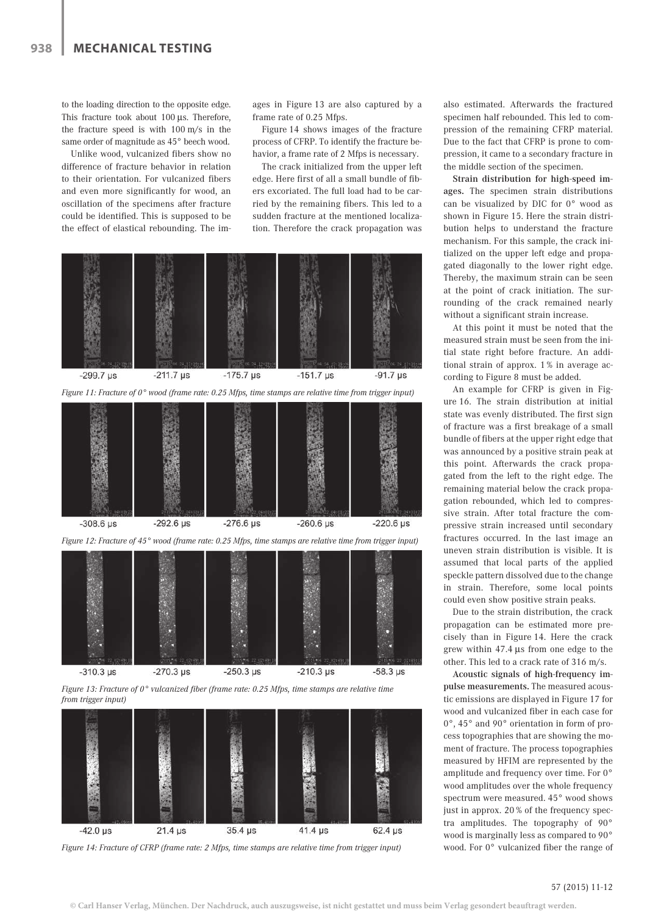to the loading direction to the opposite edge. This fracture took about 100 μs. Therefore, the fracture speed is with 100 m/s in the same order of magnitude as 45° beech wood.

Unlike wood, vulcanized fibers show no difference of fracture behavior in relation to their orientation. For vulcanized fibers and even more significantly for wood, an oscillation of the specimens after fracture could be identified. This is supposed to be the effect of elastical rebounding. The images in Figure 13 are also captured by a frame rate of 0.25 Mfps.

Figure 14 shows images of the fracture process of CFRP. To identify the fracture behavior, a frame rate of 2 Mfps is necessary.

The crack initialized from the upper left edge. Here first of all a small bundle of fibers excoriated. The full load had to be carried by the remaining fibers. This led to a sudden fracture at the mentioned localization. Therefore the crack propagation was



*Figure 13: Fracture of 0° vulcanized fiber (frame rate: 0.25 Mfps, time stamps are relative time from trigger input)*



*Figure 14: Fracture of CFRP (frame rate: 2 Mfps, time stamps are relative time from trigger input)*

also estimated. Afterwards the fractured specimen half rebounded. This led to compression of the remaining CFRP material. Due to the fact that CFRP is prone to compression, it came to a secondary fracture in the middle section of the specimen.

Strain distribution for high-speed images. The specimen strain distributions can be visualized by DIC for 0° wood as shown in Figure 15. Here the strain distribution helps to understand the fracture mechanism. For this sample, the crack initialized on the upper left edge and propagated diagonally to the lower right edge. Thereby, the maximum strain can be seen at the point of crack initiation. The surrounding of the crack remained nearly without a significant strain increase.

At this point it must be noted that the measured strain must be seen from the initial state right before fracture. An additional strain of approx. 1 % in average according to Figure 8 must be added.

An example for CFRP is given in Figure 16. The strain distribution at initial state was evenly distributed. The first sign of fracture was a first breakage of a small bundle of fibers at the upper right edge that was announced by a positive strain peak at this point. Afterwards the crack propagated from the left to the right edge. The remaining material below the crack propagation rebounded, which led to compressive strain. After total fracture the compressive strain increased until secondary fractures occurred. In the last image an uneven strain distribution is visible. It is assumed that local parts of the applied speckle pattern dissolved due to the change in strain. Therefore, some local points could even show positive strain peaks.

Due to the strain distribution, the crack propagation can be estimated more precisely than in Figure 14. Here the crack grew within 47.4 μs from one edge to the other. This led to a crack rate of 316 m/s.

Acoustic signals of high-frequency impulse measurements. The measured acoustic emissions are displayed in Figure 17 for wood and vulcanized fiber in each case for 0°, 45° and 90° orientation in form of process topographies that are showing the moment of fracture. The process topographies measured by HFIM are represented by the amplitude and frequency over time. For 0° wood amplitudes over the whole frequency spectrum were measured. 45° wood shows just in approx. 20 % of the frequency spectra amplitudes. The topography of 90° wood is marginally less as compared to 90° wood. For 0° vulcanized fiber the range of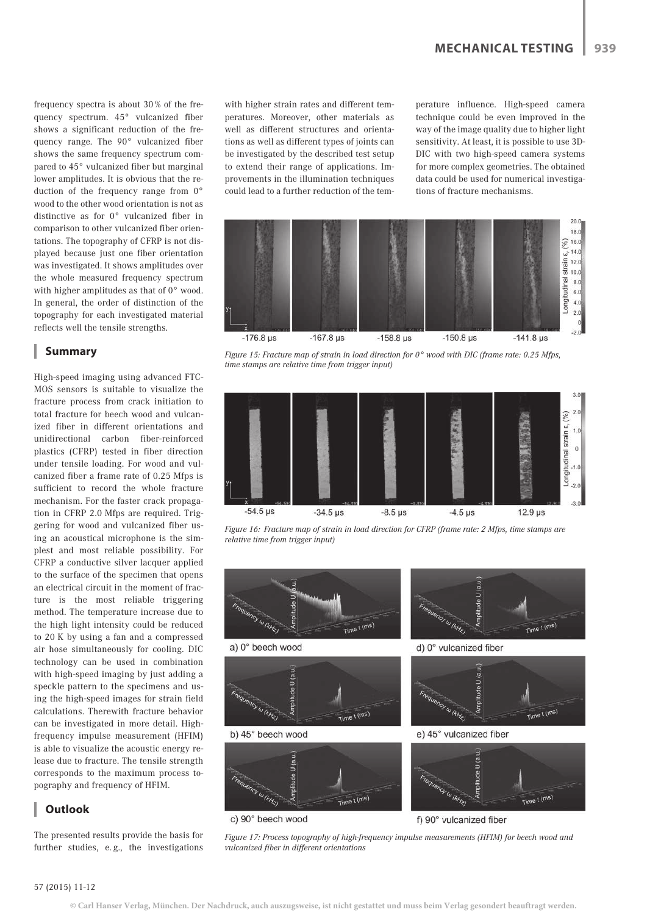frequency spectra is about 30 % of the frequency spectrum. 45° vulcanized fiber shows a significant reduction of the frequency range. The 90° vulcanized fiber shows the same frequency spectrum compared to 45° vulcanized fiber but marginal lower amplitudes. It is obvious that the reduction of the frequency range from 0° wood to the other wood orientation is not as distinctive as for 0° vulcanized fiber in comparison to other vulcanized fiber orientations. The topography of CFRP is not displayed because just one fiber orientation was investigated. It shows amplitudes over the whole measured frequency spectrum with higher amplitudes as that of 0° wood. In general, the order of distinction of the topography for each investigated material reflects well the tensile strengths.

# **Summary**

High-speed imaging using advanced FTC-MOS sensors is suitable to visualize the fracture process from crack initiation to total fracture for beech wood and vulcanized fiber in different orientations and unidirectional carbon fiber-reinforced plastics (CFRP) tested in fiber direction under tensile loading. For wood and vulcanized fiber a frame rate of 0.25 Mfps is sufficient to record the whole fracture mechanism. For the faster crack propagation in CFRP 2.0 Mfps are required. Triggering for wood and vulcanized fiber using an acoustical microphone is the simplest and most reliable possibility. For CFRP a conductive silver lacquer applied to the surface of the specimen that opens an electrical circuit in the moment of fracture is the most reliable triggering method. The temperature increase due to the high light intensity could be reduced to 20 K by using a fan and a compressed air hose simultaneously for cooling. DIC technology can be used in combination with high-speed imaging by just adding a speckle pattern to the specimens and using the high-speed images for strain field calculations. Therewith fracture behavior can be investigated in more detail. Highfrequency impulse measurement (HFIM) is able to visualize the acoustic energy release due to fracture. The tensile strength corresponds to the maximum process topography and frequency of HFIM.

# **Outlook**

The presented results provide the basis for further studies, e.g., the investigations

with higher strain rates and different temperatures. Moreover, other materials as well as different structures and orientations as well as different types of joints can be investigated by the described test setup to extend their range of applications. Improvements in the illumination techniques could lead to a further reduction of the temperature influence. High-speed camera technique could be even improved in the way of the image quality due to higher light sensitivity. At least, it is possible to use 3D-DIC with two high-speed camera systems for more complex geometries. The obtained data could be used for numerical investigations of fracture mechanisms.



*Figure 15: Fracture map of strain in load direction for 0° wood with DIC (frame rate: 0.25 Mfps, time stamps are relative time from trigger input)*



*Figure 16: Fracture map of strain in load direction for CFRP (frame rate: 2 Mfps, time stamps are relative time from trigger input)*



c) 90° beech wood

f) 90° vulcanized fiber

*Figure 17: Process topography of high-frequency impulse measurements (HFIM) for beech wood and vulcanized fiber in different orientations*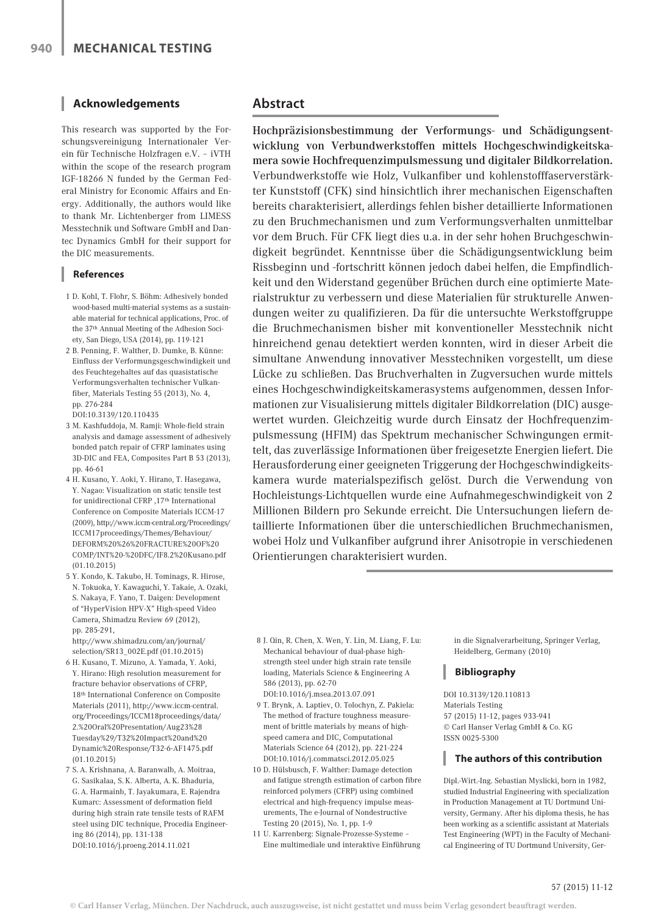## **Acknowledgements**

This research was supported by the Forschungsvereinigung Internationaler Verein für Technische Holzfragen e.V. – iVTH within the scope of the research program IGF-18266 N funded by the German Federal Ministry for Economic Affairs and Energy. Additionally, the authors would like to thank Mr. Lichtenberger from LIMESS Messtechnik und Software GmbH and Dantec Dynamics GmbH for their support for the DIC measurements.

#### **References**

- 1 D. Kohl, T. Flohr, S. Böhm: Adhesively bonded wood-based multi-material systems as a sustainable material for technical applications, Proc. of the 37th Annual Meeting of the Adhesion Society, San Diego, USA (2014), pp. 119-121
- 2 B. Penning, F. Walther, D. Dumke, B. Künne: Einfluss der Verformungsgeschwindigkeit und des Feuchtegehaltes auf das quasistatische Verformungsverhalten technischer Vulkanfiber, Materials Testing 55 (2013), No. 4, pp. 276-284

DOI:10.3139/120.110435

- 3 M. Kashfuddoja, M. Ramji: Whole-field strain analysis and damage assessment of adhesively bonded patch repair of CFRP laminates using 3D-DIC and FEA, Composites Part B 53 (2013), pp. 46-61
- 4 H. Kusano, Y. Aoki, Y. Hirano, T. Hasegawa, Y. Nagao: Visualization on static tensile test for unidirectional CFRP ,17th International Conference on Composite Materials ICCM-17 (2009), http://www.iccm-central.org/Proceedings/ ICCM17proceedings/Themes/Behaviour/ DEFORM%20%26%20FRACTURE%20OF%20 COMP/INT%20-%20DFC/IF8.2%20Kusano.pdf (01.10.2015)
- 5 Y. Kondo, K. Takubo, H. Tominags, R. Hirose, N. Tokuoka, Y. Kawaguchi, Y. Takaie, A. Ozaki, S. Nakaya, F. Yano, T. Daigen: Development of "HyperVision HPV-X" High-speed Video Camera, Shimadzu Review 69 (2012), pp. 285-291,

http://www.shimadzu.com/an/journal/ selection/SR13\_002E.pdf (01.10.2015)

- 6 H. Kusano, T. Mizuno, A. Yamada, Y. Aoki, Y. Hirano: High resolution measurement for fracture behavior observations of CFRP, 18th International Conference on Composite Materials (2011), http://www.iccm-central. org/Proceedings/ICCM18proceedings/data/ 2.%20Oral%20Presentation/Aug23%28 Tuesday%29/T32%20Impact%20and%20 Dynamic%20Response/T32-6-AF1475.pdf (01.10.2015)
- 7 S. A. Krishnana, A. Baranwalb, A. Moitraa, G. Sasikalaa, S. K. Alberta, A. K. Bhaduria, G. A. Harmainb, T. Jayakumara, E. Rajendra Kumarc: Assessment of deformation field during high strain rate tensile tests of RAFM steel using DIC technique, Procedia Engineering 86 (2014), pp. 131-138 DOI:10.1016/j.proeng.2014.11.021

# **Abstract**

Hochpräzisionsbestimmung der Verformungs- und Schädigungsentwicklung von Verbundwerkstoffen mittels Hochgeschwindigkeitskamera sowie Hochfrequenzimpulsmessung und digitaler Bildkorrelation. Verbundwerkstoffe wie Holz, Vulkanfiber und kohlenstofffaserverstärkter Kunststoff (CFK) sind hinsichtlich ihrer mechanischen Eigenschaften bereits charakterisiert, allerdings fehlen bisher detaillierte Informationen zu den Bruchmechanismen und zum Verformungsverhalten unmittelbar vor dem Bruch. Für CFK liegt dies u.a. in der sehr hohen Bruchgeschwindigkeit begründet. Kenntnisse über die Schädigungsentwicklung beim Rissbeginn und -fortschritt können jedoch dabei helfen, die Empfindlichkeit und den Widerstand gegenüber Brüchen durch eine optimierte Materialstruktur zu verbessern und diese Materialien für strukturelle Anwendungen weiter zu qualifizieren. Da für die untersuchte Werkstoffgruppe die Bruchmechanismen bisher mit konventioneller Messtechnik nicht hinreichend genau detektiert werden konnten, wird in dieser Arbeit die simultane Anwendung innovativer Messtechniken vorgestellt, um diese Lücke zu schließen. Das Bruchverhalten in Zugversuchen wurde mittels eines Hochgeschwindigkeitskamerasystems aufgenommen, dessen Informationen zur Visualisierung mittels digitaler Bildkorrelation (DIC) ausgewertet wurden. Gleichzeitig wurde durch Einsatz der Hochfrequenzimpulsmessung (HFIM) das Spektrum mechanischer Schwingungen ermittelt, das zuverlässige Informationen über freigesetzte Energien liefert. Die Herausforderung einer geeigneten Triggerung der Hochgeschwindigkeitskamera wurde materialspezifisch gelöst. Durch die Verwendung von Hochleistungs-Lichtquellen wurde eine Aufnahmegeschwindigkeit von 2 Millionen Bildern pro Sekunde erreicht. Die Untersuchungen liefern detaillierte Informationen über die unterschiedlichen Bruchmechanismen, wobei Holz und Vulkanfiber aufgrund ihrer Anisotropie in verschiedenen Orientierungen charakterisiert wurden.

- 8 J. Qin, R. Chen, X. Wen, Y. Lin, M. Liang, F. Lu: Mechanical behaviour of dual-phase highstrength steel under high strain rate tensile loading, Materials Science & Engineering A 586 (2013), pp. 62-70 DOI:10.1016/j.msea.2013.07.091
- 9 T. Brynk, A. Laptiev, O. Tolochyn, Z. Pakiela: The method of fracture toughness measurement of brittle materials by means of highspeed camera and DIC, Computational Materials Science 64 (2012), pp. 221-224 DOI:10.1016/j.commatsci.2012.05.025
- 10 D. Hülsbusch, F. Walther: Damage detection and fatigue strength estimation of carbon fibre reinforced polymers (CFRP) using combined electrical and high-frequency impulse measurements, The e-Journal of Nondestructive Testing 20 (2015), No. 1, pp. 1-9
- 11 U. Karrenberg: Signale-Prozesse-Systeme Eine multimediale und interaktive Einführung

in die Signalverarbeitung, Springer Verlag, Heidelberg, Germany (2010)

# **Bibliography**

DOI 10.3139/120.110813 Materials Testing 57 (2015) 11-12, pages 933-941 © Carl Hanser Verlag GmbH & Co. KG ISSN 0025-5300

# **The authors of this contribution**

Dipl.-Wirt.-Ing. Sebastian Myslicki, born in 1982, studied Industrial Engineering with specialization in Production Management at TU Dortmund University, Germany. After his diploma thesis, he has been working as a scientific assistant at Materials Test Engineering (WPT) in the Faculty of Mechanical Engineering of TU Dortmund University, Ger